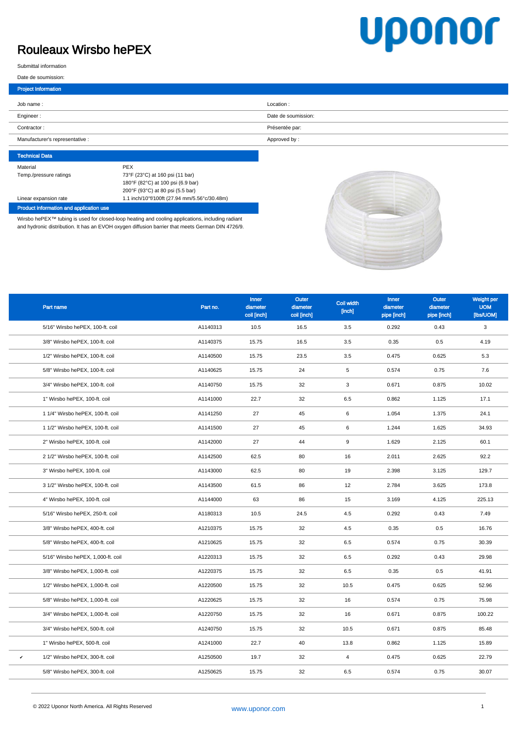## Rouleaux Wirsbo hePEX

## uponor

Submittal information

|  | Date de soumission: |
|--|---------------------|
|  |                     |

| Project Information             |                     |
|---------------------------------|---------------------|
| Job name:                       | Location:           |
| Engineer:                       | Date de soumission: |
| Contractor:                     | Présentée par:      |
| Manufacturer's representative : | Approved by:        |

| <b>Technical Data</b>  |                                              |
|------------------------|----------------------------------------------|
| Material               | <b>PEX</b>                                   |
| Temp./pressure ratings | 73°F (23°C) at 160 psi (11 bar)              |
|                        | 180°F (82°C) at 100 psi (6.9 bar)            |
|                        | 200°F (93°C) at 80 psi (5.5 bar)             |
| Linear expansion rate  | 1.1 inch/10°f/100ft (27.94 mm/5.56°c/30.48m) |
|                        |                                              |

Product information and application use

Wirsbo hePEX™ tubing is used for closed-loop heating and cooling applications, including radiant and hydronic distribution. It has an EVOH oxygen diffusion barrier that meets German DIN 4726/9.



|   | Part name                          | Part no. | Inner<br>diameter<br>coil [inch] | Outer<br>diameter<br>coil [inch] | Coil width<br>[inch] | Inner<br>diameter<br>pipe [inch] | <b>Outer</b><br>diameter<br>pipe [inch] | Weight per<br><b>UOM</b><br>[lbs/UOM] |
|---|------------------------------------|----------|----------------------------------|----------------------------------|----------------------|----------------------------------|-----------------------------------------|---------------------------------------|
|   | 5/16" Wirsbo hePEX, 100-ft. coil   | A1140313 | 10.5                             | 16.5                             | 3.5                  | 0.292                            | 0.43                                    | 3                                     |
|   | 3/8" Wirsbo hePEX, 100-ft. coil    | A1140375 | 15.75                            | 16.5                             | 3.5                  | 0.35                             | 0.5                                     | 4.19                                  |
|   | 1/2" Wirsbo hePEX, 100-ft. coil    | A1140500 | 15.75                            | 23.5                             | 3.5                  | 0.475                            | 0.625                                   | 5.3                                   |
|   | 5/8" Wirsbo hePEX, 100-ft. coil    | A1140625 | 15.75                            | 24                               | 5                    | 0.574                            | 0.75                                    | 7.6                                   |
|   | 3/4" Wirsbo hePEX, 100-ft. coil    | A1140750 | 15.75                            | 32                               | 3                    | 0.671                            | 0.875                                   | 10.02                                 |
|   | 1" Wirsbo hePEX, 100-ft. coil      | A1141000 | 22.7                             | 32                               | 6.5                  | 0.862                            | 1.125                                   | 17.1                                  |
|   | 1 1/4" Wirsbo hePEX, 100-ft. coil  | A1141250 | 27                               | 45                               | $6\phantom{1}$       | 1.054                            | 1.375                                   | 24.1                                  |
|   | 1 1/2" Wirsbo hePEX, 100-ft. coil  | A1141500 | 27                               | 45                               | 6                    | 1.244                            | 1.625                                   | 34.93                                 |
|   | 2" Wirsbo hePEX, 100-ft. coil      | A1142000 | 27                               | 44                               | 9                    | 1.629                            | 2.125                                   | 60.1                                  |
|   | 2 1/2" Wirsbo hePEX, 100-ft. coil  | A1142500 | 62.5                             | 80                               | 16                   | 2.011                            | 2.625                                   | 92.2                                  |
|   | 3" Wirsbo hePEX, 100-ft. coil      | A1143000 | 62.5                             | 80                               | 19                   | 2.398                            | 3.125                                   | 129.7                                 |
|   | 3 1/2" Wirsbo hePEX, 100-ft. coil  | A1143500 | 61.5                             | 86                               | 12                   | 2.784                            | 3.625                                   | 173.8                                 |
|   | 4" Wirsbo hePEX, 100-ft. coil      | A1144000 | 63                               | 86                               | 15                   | 3.169                            | 4.125                                   | 225.13                                |
|   | 5/16" Wirsbo hePEX, 250-ft. coil   | A1180313 | 10.5                             | 24.5                             | 4.5                  | 0.292                            | 0.43                                    | 7.49                                  |
|   | 3/8" Wirsbo hePEX, 400-ft. coil    | A1210375 | 15.75                            | 32                               | 4.5                  | 0.35                             | 0.5                                     | 16.76                                 |
|   | 5/8" Wirsbo hePEX, 400-ft. coil    | A1210625 | 15.75                            | 32                               | 6.5                  | 0.574                            | 0.75                                    | 30.39                                 |
|   | 5/16" Wirsbo hePEX, 1,000-ft. coil | A1220313 | 15.75                            | 32                               | 6.5                  | 0.292                            | 0.43                                    | 29.98                                 |
|   | 3/8" Wirsbo hePEX, 1,000-ft. coil  | A1220375 | 15.75                            | 32                               | 6.5                  | 0.35                             | 0.5                                     | 41.91                                 |
|   | 1/2" Wirsbo hePEX, 1,000-ft. coil  | A1220500 | 15.75                            | 32                               | 10.5                 | 0.475                            | 0.625                                   | 52.96                                 |
|   | 5/8" Wirsbo hePEX, 1,000-ft. coil  | A1220625 | 15.75                            | 32                               | 16                   | 0.574                            | 0.75                                    | 75.98                                 |
|   | 3/4" Wirsbo hePEX, 1,000-ft. coil  | A1220750 | 15.75                            | 32                               | 16                   | 0.671                            | 0.875                                   | 100.22                                |
|   | 3/4" Wirsbo hePEX, 500-ft. coil    | A1240750 | 15.75                            | 32                               | 10.5                 | 0.671                            | 0.875                                   | 85.48                                 |
|   | 1" Wirsbo hePEX, 500-ft. coil      | A1241000 | 22.7                             | 40                               | 13.8                 | 0.862                            | 1.125                                   | 15.89                                 |
| v | 1/2" Wirsbo hePEX, 300-ft. coil    | A1250500 | 19.7                             | 32                               | $\overline{4}$       | 0.475                            | 0.625                                   | 22.79                                 |
|   | 5/8" Wirsbo hePEX, 300-ft. coil    | A1250625 | 15.75                            | 32                               | 6.5                  | 0.574                            | 0.75                                    | 30.07                                 |